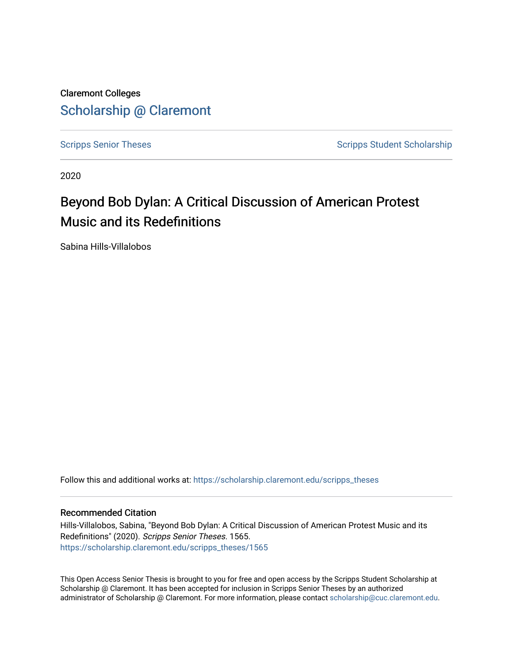Claremont Colleges [Scholarship @ Claremont](https://scholarship.claremont.edu/) 

[Scripps Senior Theses](https://scholarship.claremont.edu/scripps_theses) Scripps Student Scholarship

2020

# Beyond Bob Dylan: A Critical Discussion of American Protest Music and its Redefinitions

Sabina Hills-Villalobos

Follow this and additional works at: [https://scholarship.claremont.edu/scripps\\_theses](https://scholarship.claremont.edu/scripps_theses?utm_source=scholarship.claremont.edu%2Fscripps_theses%2F1565&utm_medium=PDF&utm_campaign=PDFCoverPages)

#### Recommended Citation

Hills-Villalobos, Sabina, "Beyond Bob Dylan: A Critical Discussion of American Protest Music and its Redefinitions" (2020). Scripps Senior Theses. 1565. [https://scholarship.claremont.edu/scripps\\_theses/1565](https://scholarship.claremont.edu/scripps_theses/1565?utm_source=scholarship.claremont.edu%2Fscripps_theses%2F1565&utm_medium=PDF&utm_campaign=PDFCoverPages) 

This Open Access Senior Thesis is brought to you for free and open access by the Scripps Student Scholarship at Scholarship @ Claremont. It has been accepted for inclusion in Scripps Senior Theses by an authorized administrator of Scholarship @ Claremont. For more information, please contact [scholarship@cuc.claremont.edu.](mailto:scholarship@cuc.claremont.edu)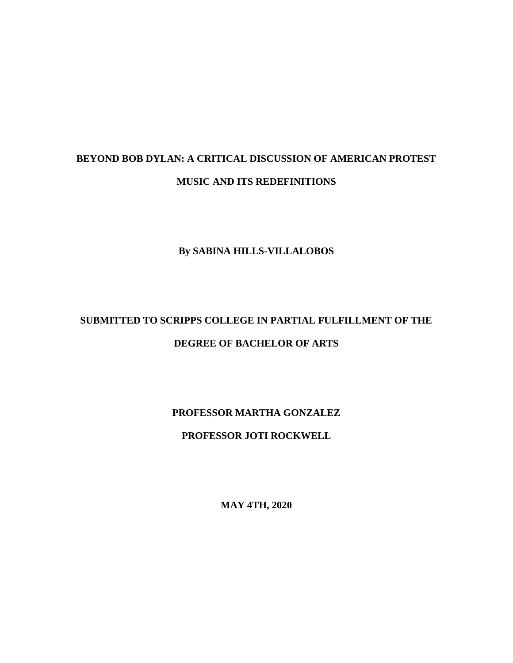# **BEYOND BOB DYLAN: A CRITICAL DISCUSSION OF AMERICAN PROTEST MUSIC AND ITS REDEFINITIONS**

#### **By SABINA HILLS-VILLALOBOS**

# **SUBMITTED TO SCRIPPS COLLEGE IN PARTIAL FULFILLMENT OF THE DEGREE OF BACHELOR OF ARTS**

**PROFESSOR MARTHA GONZALEZ**

**PROFESSOR JOTI ROCKWELL**

**MAY 4TH, 2020**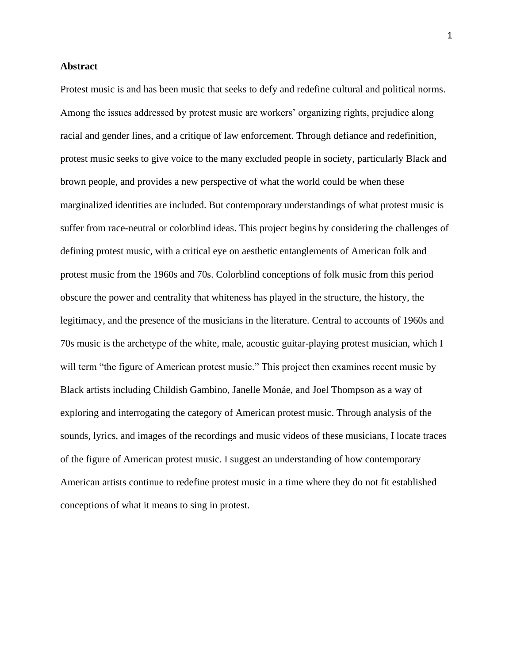#### **Abstract**

Protest music is and has been music that seeks to defy and redefine cultural and political norms. Among the issues addressed by protest music are workers' organizing rights, prejudice along racial and gender lines, and a critique of law enforcement. Through defiance and redefinition, protest music seeks to give voice to the many excluded people in society, particularly Black and brown people, and provides a new perspective of what the world could be when these marginalized identities are included. But contemporary understandings of what protest music is suffer from race-neutral or colorblind ideas. This project begins by considering the challenges of defining protest music, with a critical eye on aesthetic entanglements of American folk and protest music from the 1960s and 70s. Colorblind conceptions of folk music from this period obscure the power and centrality that whiteness has played in the structure, the history, the legitimacy, and the presence of the musicians in the literature. Central to accounts of 1960s and 70s music is the archetype of the white, male, acoustic guitar-playing protest musician, which I will term "the figure of American protest music." This project then examines recent music by Black artists including Childish Gambino, Janelle Monáe, and Joel Thompson as a way of exploring and interrogating the category of American protest music. Through analysis of the sounds, lyrics, and images of the recordings and music videos of these musicians, I locate traces of the figure of American protest music. I suggest an understanding of how contemporary American artists continue to redefine protest music in a time where they do not fit established conceptions of what it means to sing in protest.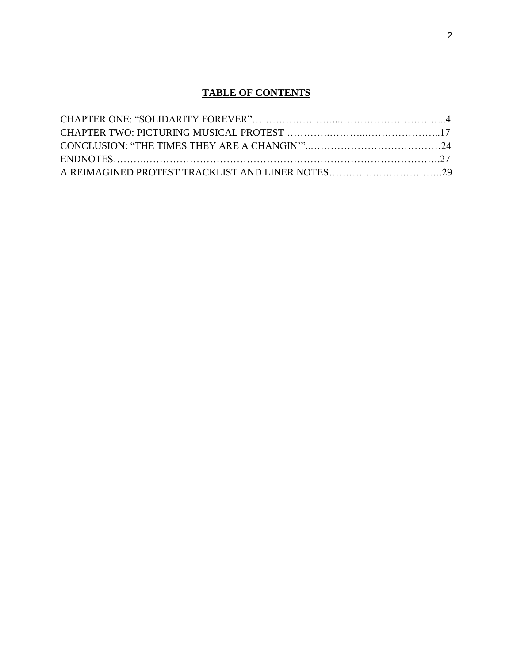### **TABLE OF CONTENTS**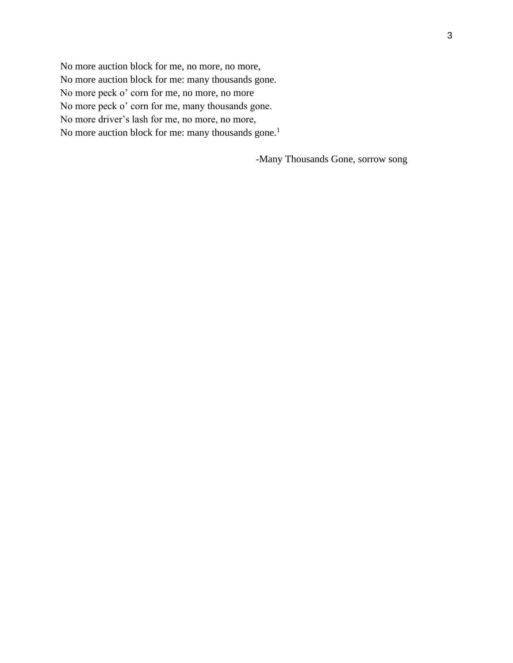No more auction block for me, no more, no more, No more auction block for me: many thousands gone. No more peck o' corn for me, no more, no more No more peck o' corn for me, many thousands gone. No more driver's lash for me, no more, no more, No more auction block for me: many thousands gone.<sup>1</sup>

-Many Thousands Gone, sorrow song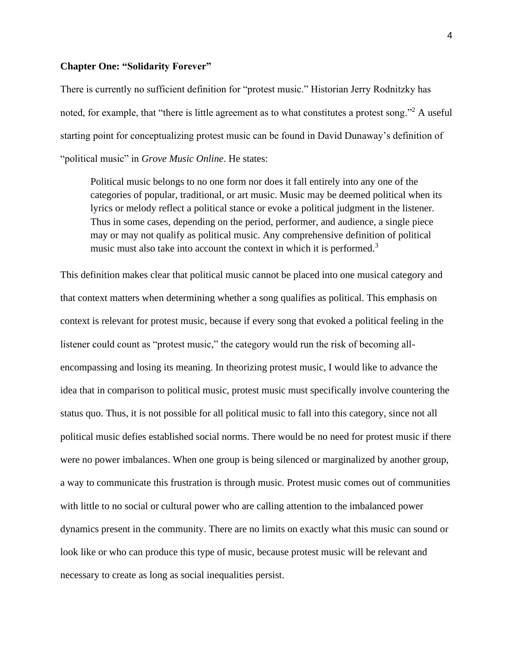#### **Chapter One: "Solidarity Forever"**

There is currently no sufficient definition for "protest music." Historian Jerry Rodnitzky has noted, for example, that "there is little agreement as to what constitutes a protest song."<sup>2</sup> A useful starting point for conceptualizing protest music can be found in David Dunaway's definition of "political music" in *Grove Music Online*. He states:

Political music belongs to no one form nor does it fall entirely into any one of the categories of popular, traditional, or art music. Music may be deemed political when its lyrics or melody reflect a political stance or evoke a political judgment in the listener. Thus in some cases, depending on the period, performer, and audience, a single piece may or may not qualify as political music. Any comprehensive definition of political music must also take into account the context in which it is performed.<sup>3</sup>

This definition makes clear that political music cannot be placed into one musical category and that context matters when determining whether a song qualifies as political. This emphasis on context is relevant for protest music, because if every song that evoked a political feeling in the listener could count as "protest music," the category would run the risk of becoming allencompassing and losing its meaning. In theorizing protest music, I would like to advance the idea that in comparison to political music, protest music must specifically involve countering the status quo. Thus, it is not possible for all political music to fall into this category, since not all political music defies established social norms. There would be no need for protest music if there were no power imbalances. When one group is being silenced or marginalized by another group, a way to communicate this frustration is through music. Protest music comes out of communities with little to no social or cultural power who are calling attention to the imbalanced power dynamics present in the community. There are no limits on exactly what this music can sound or look like or who can produce this type of music, because protest music will be relevant and necessary to create as long as social inequalities persist.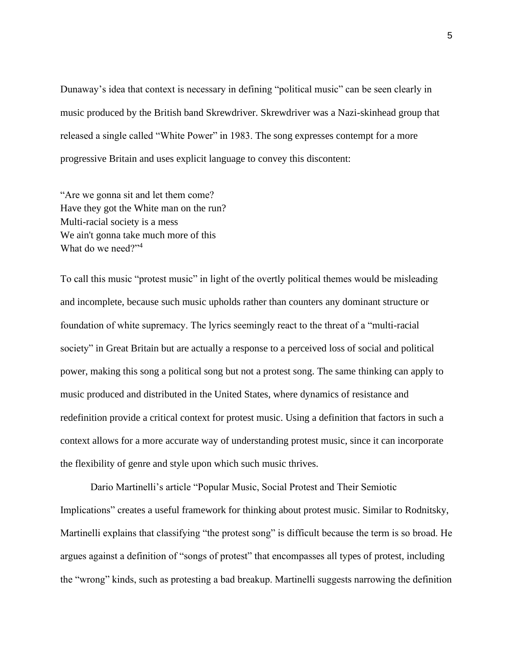Dunaway's idea that context is necessary in defining "political music" can be seen clearly in music produced by the British band Skrewdriver. Skrewdriver was a Nazi-skinhead group that released a single called "White Power" in 1983. The song expresses contempt for a more progressive Britain and uses explicit language to convey this discontent:

"Are we gonna sit and let them come? Have they got the White man on the run? Multi-racial society is a mess We ain't gonna take much more of this What do we need?"<sup>4</sup>

To call this music "protest music" in light of the overtly political themes would be misleading and incomplete, because such music upholds rather than counters any dominant structure or foundation of white supremacy. The lyrics seemingly react to the threat of a "multi-racial society" in Great Britain but are actually a response to a perceived loss of social and political power, making this song a political song but not a protest song. The same thinking can apply to music produced and distributed in the United States, where dynamics of resistance and redefinition provide a critical context for protest music. Using a definition that factors in such a context allows for a more accurate way of understanding protest music, since it can incorporate the flexibility of genre and style upon which such music thrives.

Dario Martinelli's article "Popular Music, Social Protest and Their Semiotic Implications" creates a useful framework for thinking about protest music. Similar to Rodnitsky, Martinelli explains that classifying "the protest song" is difficult because the term is so broad. He argues against a definition of "songs of protest" that encompasses all types of protest, including the "wrong" kinds, such as protesting a bad breakup. Martinelli suggests narrowing the definition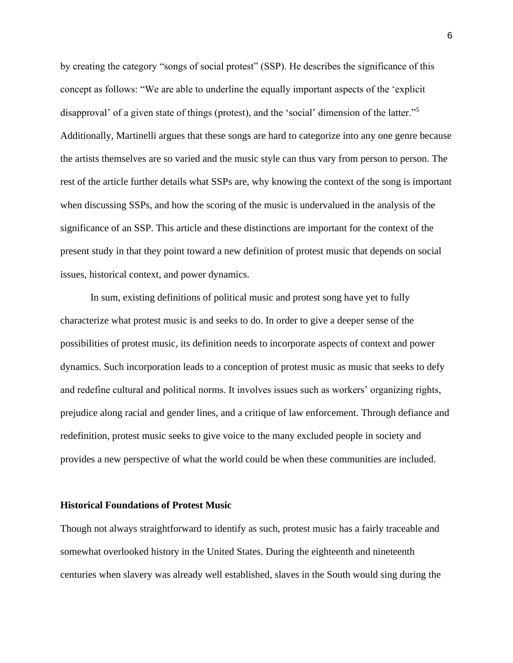by creating the category "songs of social protest" (SSP). He describes the significance of this concept as follows: "We are able to underline the equally important aspects of the 'explicit disapproval' of a given state of things (protest), and the 'social' dimension of the latter."<sup>5</sup> Additionally, Martinelli argues that these songs are hard to categorize into any one genre because the artists themselves are so varied and the music style can thus vary from person to person. The rest of the article further details what SSPs are, why knowing the context of the song is important when discussing SSPs, and how the scoring of the music is undervalued in the analysis of the significance of an SSP. This article and these distinctions are important for the context of the present study in that they point toward a new definition of protest music that depends on social issues, historical context, and power dynamics.

In sum, existing definitions of political music and protest song have yet to fully characterize what protest music is and seeks to do. In order to give a deeper sense of the possibilities of protest music, its definition needs to incorporate aspects of context and power dynamics. Such incorporation leads to a conception of protest music as music that seeks to defy and redefine cultural and political norms. It involves issues such as workers' organizing rights, prejudice along racial and gender lines, and a critique of law enforcement. Through defiance and redefinition, protest music seeks to give voice to the many excluded people in society and provides a new perspective of what the world could be when these communities are included.

#### **Historical Foundations of Protest Music**

Though not always straightforward to identify as such, protest music has a fairly traceable and somewhat overlooked history in the United States. During the eighteenth and nineteenth centuries when slavery was already well established, slaves in the South would sing during the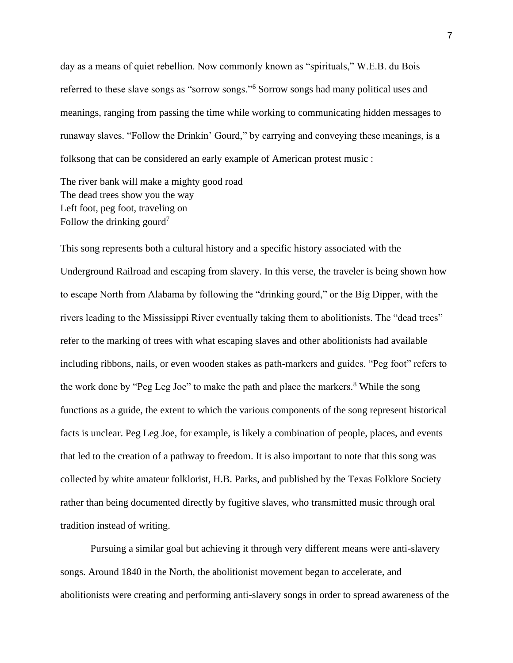day as a means of quiet rebellion. Now commonly known as "spirituals," W.E.B. du Bois referred to these slave songs as "sorrow songs."<sup>6</sup> Sorrow songs had many political uses and meanings, ranging from passing the time while working to communicating hidden messages to runaway slaves. "Follow the Drinkin' Gourd," by carrying and conveying these meanings, is a folksong that can be considered an early example of American protest music :

The river bank will make a mighty good road The dead trees show you the way Left foot, peg foot, traveling on Follow the drinking gourd<sup>7</sup>

This song represents both a cultural history and a specific history associated with the Underground Railroad and escaping from slavery. In this verse, the traveler is being shown how to escape North from Alabama by following the "drinking gourd," or the Big Dipper, with the rivers leading to the Mississippi River eventually taking them to abolitionists. The "dead trees" refer to the marking of trees with what escaping slaves and other abolitionists had available including ribbons, nails, or even wooden stakes as path-markers and guides. "Peg foot" refers to the work done by "Peg Leg Joe" to make the path and place the markers.<sup>8</sup> While the song functions as a guide, the extent to which the various components of the song represent historical facts is unclear. Peg Leg Joe, for example, is likely a combination of people, places, and events that led to the creation of a pathway to freedom. It is also important to note that this song was collected by white amateur folklorist, H.B. Parks, and published by the Texas Folklore Society rather than being documented directly by fugitive slaves, who transmitted music through oral tradition instead of writing.

Pursuing a similar goal but achieving it through very different means were anti-slavery songs. Around 1840 in the North, the abolitionist movement began to accelerate, and abolitionists were creating and performing anti-slavery songs in order to spread awareness of the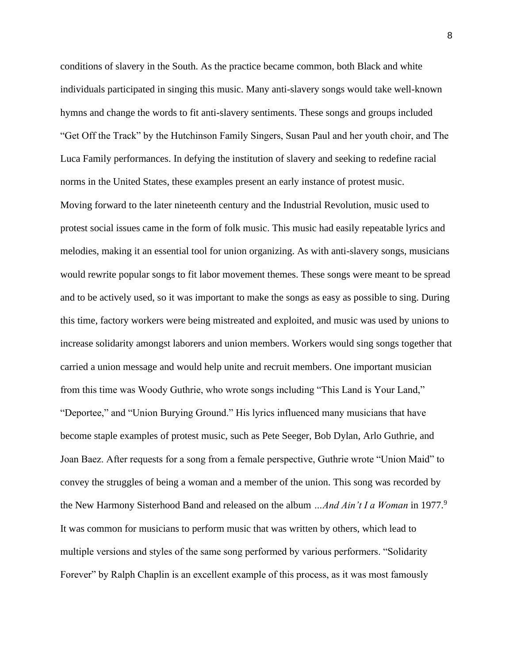conditions of slavery in the South. As the practice became common, both Black and white individuals participated in singing this music. Many anti-slavery songs would take well-known hymns and change the words to fit anti-slavery sentiments. These songs and groups included "Get Off the Track" by the Hutchinson Family Singers, Susan Paul and her youth choir, and The Luca Family performances. In defying the institution of slavery and seeking to redefine racial norms in the United States, these examples present an early instance of protest music. Moving forward to the later nineteenth century and the Industrial Revolution, music used to protest social issues came in the form of folk music. This music had easily repeatable lyrics and melodies, making it an essential tool for union organizing. As with anti-slavery songs, musicians would rewrite popular songs to fit labor movement themes. These songs were meant to be spread and to be actively used, so it was important to make the songs as easy as possible to sing. During this time, factory workers were being mistreated and exploited, and music was used by unions to increase solidarity amongst laborers and union members. Workers would sing songs together that carried a union message and would help unite and recruit members. One important musician from this time was Woody Guthrie, who wrote songs including "This Land is Your Land," "Deportee," and "Union Burying Ground." His lyrics influenced many musicians that have become staple examples of protest music, such as Pete Seeger, Bob Dylan, Arlo Guthrie, and Joan Baez. After requests for a song from a female perspective, Guthrie wrote "Union Maid" to convey the struggles of being a woman and a member of the union. This song was recorded by the New Harmony Sisterhood Band and released on the album *…And Ain't I a Woman* in 1977.<sup>9</sup> It was common for musicians to perform music that was written by others, which lead to multiple versions and styles of the same song performed by various performers. "Solidarity Forever" by Ralph Chaplin is an excellent example of this process, as it was most famously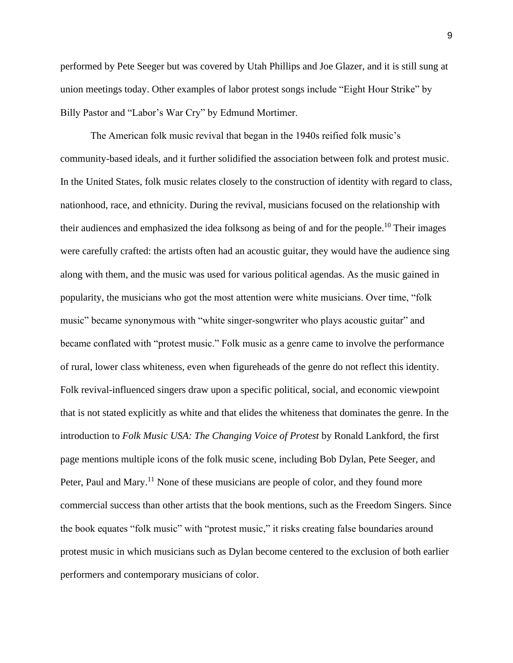performed by Pete Seeger but was covered by Utah Phillips and Joe Glazer, and it is still sung at union meetings today. Other examples of labor protest songs include "Eight Hour Strike" by Billy Pastor and "Labor's War Cry" by Edmund Mortimer.

The American folk music revival that began in the 1940s reified folk music's community-based ideals, and it further solidified the association between folk and protest music. In the United States, folk music relates closely to the construction of identity with regard to class, nationhood, race, and ethnicity. During the revival, musicians focused on the relationship with their audiences and emphasized the idea folksong as being of and for the people.<sup>10</sup> Their images were carefully crafted: the artists often had an acoustic guitar, they would have the audience sing along with them, and the music was used for various political agendas. As the music gained in popularity, the musicians who got the most attention were white musicians. Over time, "folk music" became synonymous with "white singer-songwriter who plays acoustic guitar" and became conflated with "protest music." Folk music as a genre came to involve the performance of rural, lower class whiteness, even when figureheads of the genre do not reflect this identity. Folk revival-influenced singers draw upon a specific political, social, and economic viewpoint that is not stated explicitly as white and that elides the whiteness that dominates the genre. In the introduction to *Folk Music USA: The Changing Voice of Protest* by Ronald Lankford, the first page mentions multiple icons of the folk music scene, including Bob Dylan, Pete Seeger, and Peter, Paul and Mary.<sup>11</sup> None of these musicians are people of color, and they found more commercial success than other artists that the book mentions, such as the Freedom Singers. Since the book equates "folk music" with "protest music," it risks creating false boundaries around protest music in which musicians such as Dylan become centered to the exclusion of both earlier performers and contemporary musicians of color.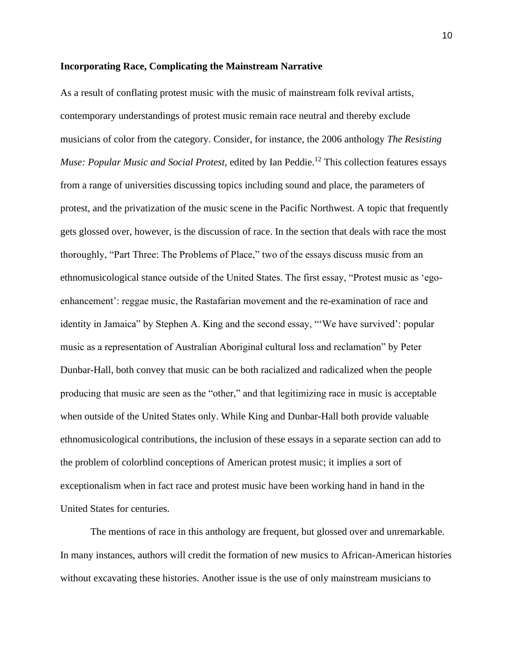#### **Incorporating Race, Complicating the Mainstream Narrative**

As a result of conflating protest music with the music of mainstream folk revival artists, contemporary understandings of protest music remain race neutral and thereby exclude musicians of color from the category. Consider, for instance, the 2006 anthology *The Resisting Muse: Popular Music and Social Protest, edited by Ian Peddie.*<sup>12</sup> This collection features essays from a range of universities discussing topics including sound and place, the parameters of protest, and the privatization of the music scene in the Pacific Northwest. A topic that frequently gets glossed over, however, is the discussion of race. In the section that deals with race the most thoroughly, "Part Three: The Problems of Place," two of the essays discuss music from an ethnomusicological stance outside of the United States. The first essay, "Protest music as 'egoenhancement': reggae music, the Rastafarian movement and the re-examination of race and identity in Jamaica" by Stephen A. King and the second essay, "'We have survived': popular music as a representation of Australian Aboriginal cultural loss and reclamation" by Peter Dunbar-Hall, both convey that music can be both racialized and radicalized when the people producing that music are seen as the "other," and that legitimizing race in music is acceptable when outside of the United States only. While King and Dunbar-Hall both provide valuable ethnomusicological contributions, the inclusion of these essays in a separate section can add to the problem of colorblind conceptions of American protest music; it implies a sort of exceptionalism when in fact race and protest music have been working hand in hand in the United States for centuries.

The mentions of race in this anthology are frequent, but glossed over and unremarkable. In many instances, authors will credit the formation of new musics to African-American histories without excavating these histories. Another issue is the use of only mainstream musicians to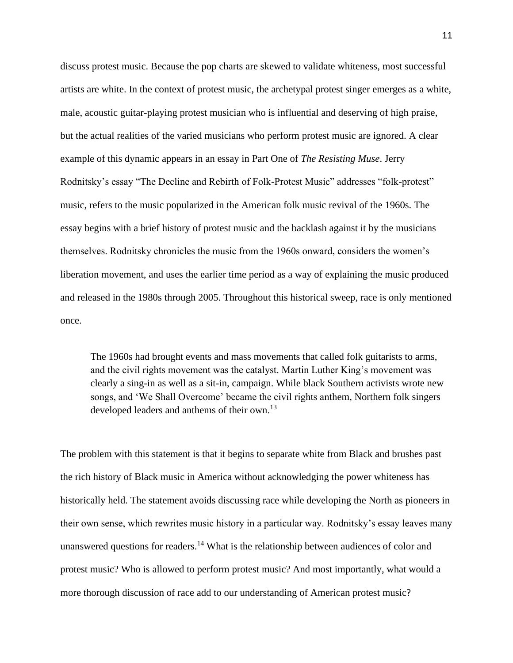discuss protest music. Because the pop charts are skewed to validate whiteness, most successful artists are white. In the context of protest music, the archetypal protest singer emerges as a white, male, acoustic guitar-playing protest musician who is influential and deserving of high praise, but the actual realities of the varied musicians who perform protest music are ignored. A clear example of this dynamic appears in an essay in Part One of *The Resisting Muse*. Jerry Rodnitsky's essay "The Decline and Rebirth of Folk-Protest Music" addresses "folk-protest" music, refers to the music popularized in the American folk music revival of the 1960s. The essay begins with a brief history of protest music and the backlash against it by the musicians themselves. Rodnitsky chronicles the music from the 1960s onward, considers the women's liberation movement, and uses the earlier time period as a way of explaining the music produced and released in the 1980s through 2005. Throughout this historical sweep, race is only mentioned once.

The 1960s had brought events and mass movements that called folk guitarists to arms, and the civil rights movement was the catalyst. Martin Luther King's movement was clearly a sing-in as well as a sit-in, campaign. While black Southern activists wrote new songs, and 'We Shall Overcome' became the civil rights anthem, Northern folk singers developed leaders and anthems of their own.<sup>13</sup>

The problem with this statement is that it begins to separate white from Black and brushes past the rich history of Black music in America without acknowledging the power whiteness has historically held. The statement avoids discussing race while developing the North as pioneers in their own sense, which rewrites music history in a particular way. Rodnitsky's essay leaves many unanswered questions for readers.<sup>14</sup> What is the relationship between audiences of color and protest music? Who is allowed to perform protest music? And most importantly, what would a more thorough discussion of race add to our understanding of American protest music?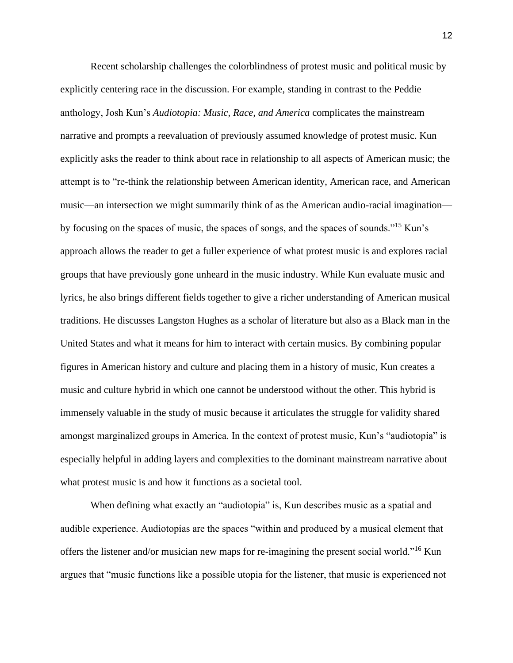Recent scholarship challenges the colorblindness of protest music and political music by explicitly centering race in the discussion. For example, standing in contrast to the Peddie anthology, Josh Kun's *Audiotopia: Music, Race, and America* complicates the mainstream narrative and prompts a reevaluation of previously assumed knowledge of protest music. Kun explicitly asks the reader to think about race in relationship to all aspects of American music; the attempt is to "re-think the relationship between American identity, American race, and American music—an intersection we might summarily think of as the American audio-racial imagination by focusing on the spaces of music, the spaces of songs, and the spaces of sounds."<sup>15</sup> Kun's approach allows the reader to get a fuller experience of what protest music is and explores racial groups that have previously gone unheard in the music industry. While Kun evaluate music and lyrics, he also brings different fields together to give a richer understanding of American musical traditions. He discusses Langston Hughes as a scholar of literature but also as a Black man in the United States and what it means for him to interact with certain musics. By combining popular figures in American history and culture and placing them in a history of music, Kun creates a music and culture hybrid in which one cannot be understood without the other. This hybrid is immensely valuable in the study of music because it articulates the struggle for validity shared amongst marginalized groups in America. In the context of protest music, Kun's "audiotopia" is especially helpful in adding layers and complexities to the dominant mainstream narrative about what protest music is and how it functions as a societal tool.

When defining what exactly an "audiotopia" is, Kun describes music as a spatial and audible experience. Audiotopias are the spaces "within and produced by a musical element that offers the listener and/or musician new maps for re-imagining the present social world."<sup>16</sup> Kun argues that "music functions like a possible utopia for the listener, that music is experienced not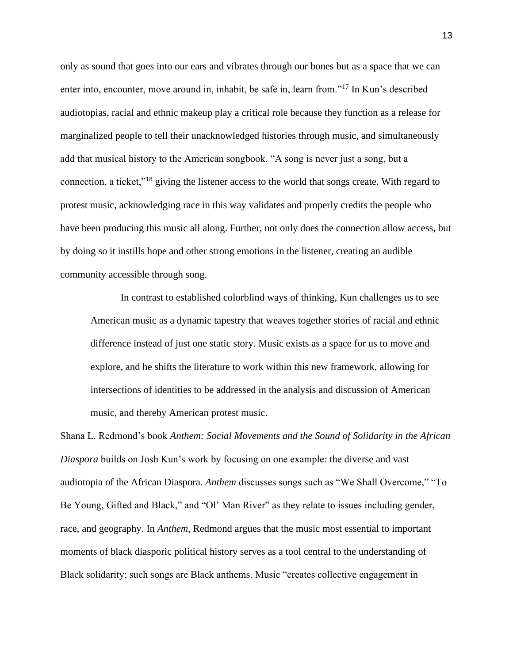only as sound that goes into our ears and vibrates through our bones but as a space that we can enter into, encounter, move around in, inhabit, be safe in, learn from."<sup>17</sup> In Kun's described audiotopias, racial and ethnic makeup play a critical role because they function as a release for marginalized people to tell their unacknowledged histories through music, and simultaneously add that musical history to the American songbook. "A song is never just a song, but a connection, a ticket,"<sup>18</sup> giving the listener access to the world that songs create. With regard to protest music, acknowledging race in this way validates and properly credits the people who have been producing this music all along. Further, not only does the connection allow access, but by doing so it instills hope and other strong emotions in the listener, creating an audible community accessible through song.

In contrast to established colorblind ways of thinking, Kun challenges us to see American music as a dynamic tapestry that weaves together stories of racial and ethnic difference instead of just one static story. Music exists as a space for us to move and explore, and he shifts the literature to work within this new framework, allowing for intersections of identities to be addressed in the analysis and discussion of American music, and thereby American protest music.

Shana L. Redmond's book *Anthem: Social Movements and the Sound of Solidarity in the African Diaspora* builds on Josh Kun's work by focusing on one example: the diverse and vast audiotopia of the African Diaspora. *Anthem* discusses songs such as "We Shall Overcome," "To Be Young, Gifted and Black," and "Ol' Man River" as they relate to issues including gender, race, and geography. In *Anthem*, Redmond argues that the music most essential to important moments of black diasporic political history serves as a tool central to the understanding of Black solidarity; such songs are Black anthems. Music "creates collective engagement in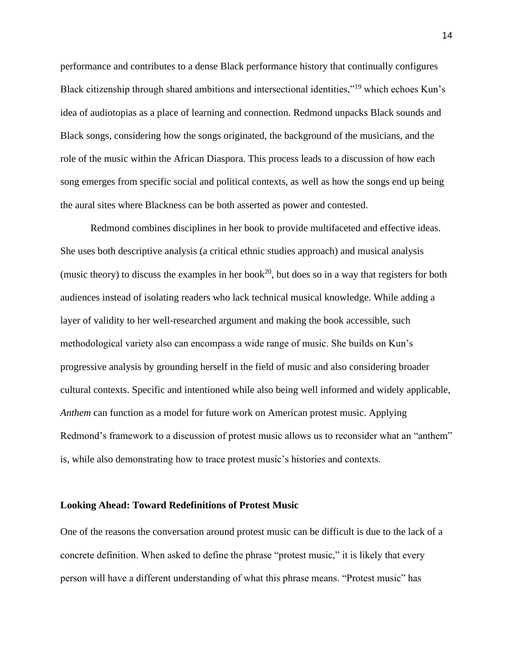performance and contributes to a dense Black performance history that continually configures Black citizenship through shared ambitions and intersectional identities,"<sup>19</sup> which echoes Kun's idea of audiotopias as a place of learning and connection. Redmond unpacks Black sounds and Black songs, considering how the songs originated, the background of the musicians, and the role of the music within the African Diaspora. This process leads to a discussion of how each song emerges from specific social and political contexts, as well as how the songs end up being the aural sites where Blackness can be both asserted as power and contested.

 Redmond combines disciplines in her book to provide multifaceted and effective ideas. She uses both descriptive analysis (a critical ethnic studies approach) and musical analysis (music theory) to discuss the examples in her book<sup>20</sup>, but does so in a way that registers for both audiences instead of isolating readers who lack technical musical knowledge. While adding a layer of validity to her well-researched argument and making the book accessible, such methodological variety also can encompass a wide range of music. She builds on Kun's progressive analysis by grounding herself in the field of music and also considering broader cultural contexts. Specific and intentioned while also being well informed and widely applicable, *Anthem* can function as a model for future work on American protest music. Applying Redmond's framework to a discussion of protest music allows us to reconsider what an "anthem" is, while also demonstrating how to trace protest music's histories and contexts.

#### **Looking Ahead: Toward Redefinitions of Protest Music**

One of the reasons the conversation around protest music can be difficult is due to the lack of a concrete definition. When asked to define the phrase "protest music," it is likely that every person will have a different understanding of what this phrase means. "Protest music" has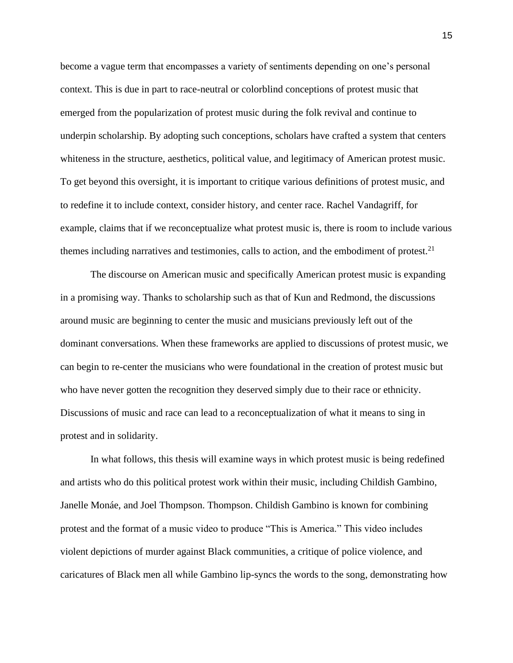become a vague term that encompasses a variety of sentiments depending on one's personal context. This is due in part to race-neutral or colorblind conceptions of protest music that emerged from the popularization of protest music during the folk revival and continue to underpin scholarship. By adopting such conceptions, scholars have crafted a system that centers whiteness in the structure, aesthetics, political value, and legitimacy of American protest music. To get beyond this oversight, it is important to critique various definitions of protest music, and to redefine it to include context, consider history, and center race. Rachel Vandagriff, for example, claims that if we reconceptualize what protest music is, there is room to include various themes including narratives and testimonies, calls to action, and the embodiment of protest. $21$ 

The discourse on American music and specifically American protest music is expanding in a promising way. Thanks to scholarship such as that of Kun and Redmond, the discussions around music are beginning to center the music and musicians previously left out of the dominant conversations. When these frameworks are applied to discussions of protest music, we can begin to re-center the musicians who were foundational in the creation of protest music but who have never gotten the recognition they deserved simply due to their race or ethnicity. Discussions of music and race can lead to a reconceptualization of what it means to sing in protest and in solidarity.

In what follows, this thesis will examine ways in which protest music is being redefined and artists who do this political protest work within their music, including Childish Gambino, Janelle Monáe, and Joel Thompson. Thompson. Childish Gambino is known for combining protest and the format of a music video to produce "This is America." This video includes violent depictions of murder against Black communities, a critique of police violence, and caricatures of Black men all while Gambino lip-syncs the words to the song, demonstrating how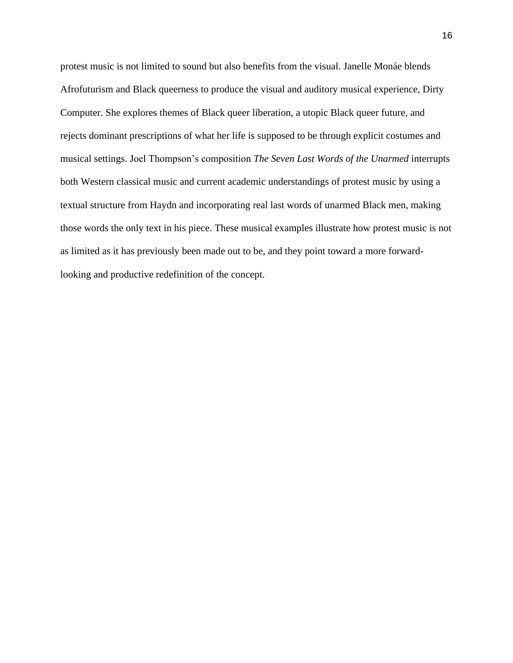protest music is not limited to sound but also benefits from the visual. Janelle Monáe blends Afrofuturism and Black queerness to produce the visual and auditory musical experience, Dirty Computer. She explores themes of Black queer liberation, a utopic Black queer future, and rejects dominant prescriptions of what her life is supposed to be through explicit costumes and musical settings. Joel Thompson's composition *The Seven Last Words of the Unarmed* interrupts both Western classical music and current academic understandings of protest music by using a textual structure from Haydn and incorporating real last words of unarmed Black men, making those words the only text in his piece. These musical examples illustrate how protest music is not as limited as it has previously been made out to be, and they point toward a more forwardlooking and productive redefinition of the concept.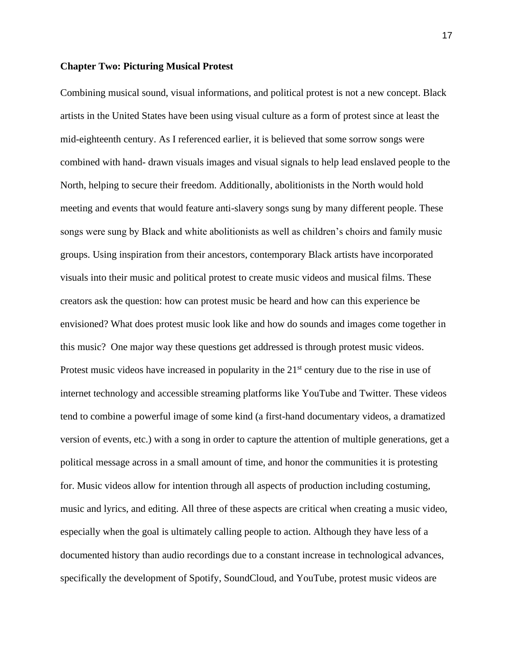#### **Chapter Two: Picturing Musical Protest**

Combining musical sound, visual informations, and political protest is not a new concept. Black artists in the United States have been using visual culture as a form of protest since at least the mid-eighteenth century. As I referenced earlier, it is believed that some sorrow songs were combined with hand- drawn visuals images and visual signals to help lead enslaved people to the North, helping to secure their freedom. Additionally, abolitionists in the North would hold meeting and events that would feature anti-slavery songs sung by many different people. These songs were sung by Black and white abolitionists as well as children's choirs and family music groups. Using inspiration from their ancestors, contemporary Black artists have incorporated visuals into their music and political protest to create music videos and musical films. These creators ask the question: how can protest music be heard and how can this experience be envisioned? What does protest music look like and how do sounds and images come together in this music? One major way these questions get addressed is through protest music videos. Protest music videos have increased in popularity in the  $21<sup>st</sup>$  century due to the rise in use of internet technology and accessible streaming platforms like YouTube and Twitter. These videos tend to combine a powerful image of some kind (a first-hand documentary videos, a dramatized version of events, etc.) with a song in order to capture the attention of multiple generations, get a political message across in a small amount of time, and honor the communities it is protesting for. Music videos allow for intention through all aspects of production including costuming, music and lyrics, and editing. All three of these aspects are critical when creating a music video, especially when the goal is ultimately calling people to action. Although they have less of a documented history than audio recordings due to a constant increase in technological advances, specifically the development of Spotify, SoundCloud, and YouTube, protest music videos are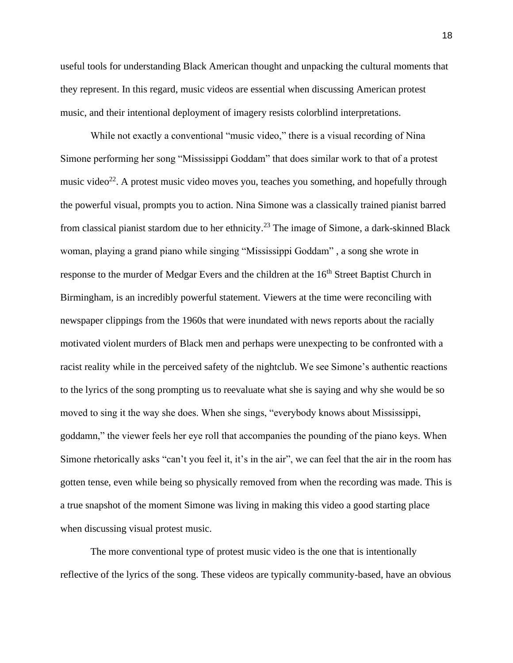useful tools for understanding Black American thought and unpacking the cultural moments that they represent. In this regard, music videos are essential when discussing American protest music, and their intentional deployment of imagery resists colorblind interpretations.

While not exactly a conventional "music video," there is a visual recording of Nina Simone performing her song "Mississippi Goddam" that does similar work to that of a protest music video<sup>22</sup>. A protest music video moves you, teaches you something, and hopefully through the powerful visual, prompts you to action. Nina Simone was a classically trained pianist barred from classical pianist stardom due to her ethnicity.<sup>23</sup> The image of Simone, a dark-skinned Black woman, playing a grand piano while singing "Mississippi Goddam" , a song she wrote in response to the murder of Medgar Evers and the children at the 16<sup>th</sup> Street Baptist Church in Birmingham, is an incredibly powerful statement. Viewers at the time were reconciling with newspaper clippings from the 1960s that were inundated with news reports about the racially motivated violent murders of Black men and perhaps were unexpecting to be confronted with a racist reality while in the perceived safety of the nightclub. We see Simone's authentic reactions to the lyrics of the song prompting us to reevaluate what she is saying and why she would be so moved to sing it the way she does. When she sings, "everybody knows about Mississippi, goddamn," the viewer feels her eye roll that accompanies the pounding of the piano keys. When Simone rhetorically asks "can't you feel it, it's in the air", we can feel that the air in the room has gotten tense, even while being so physically removed from when the recording was made. This is a true snapshot of the moment Simone was living in making this video a good starting place when discussing visual protest music.

The more conventional type of protest music video is the one that is intentionally reflective of the lyrics of the song. These videos are typically community-based, have an obvious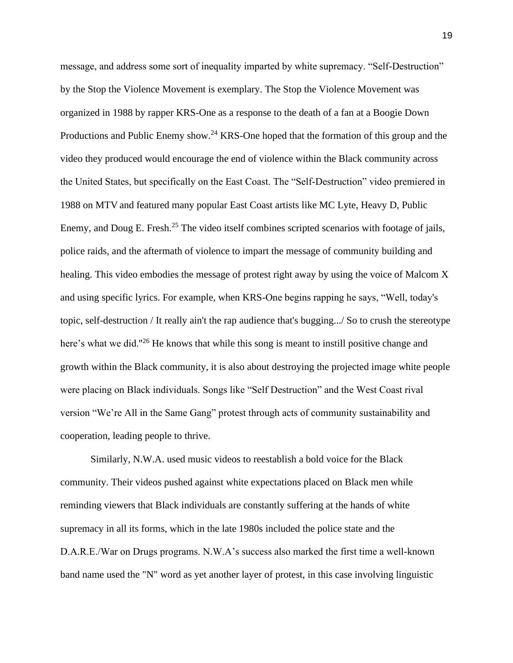message, and address some sort of inequality imparted by white supremacy. "Self-Destruction" by the Stop the Violence Movement is exemplary. The Stop the Violence Movement was organized in 1988 by rapper KRS-One as a response to the death of a fan at a Boogie Down Productions and Public Enemy show.<sup>24</sup> KRS-One hoped that the formation of this group and the video they produced would encourage the end of violence within the Black community across the United States, but specifically on the East Coast. The "Self-Destruction" video premiered in 1988 on MTV and featured many popular East Coast artists like MC Lyte, Heavy D, Public Enemy, and Doug E. Fresh.<sup>25</sup> The video itself combines scripted scenarios with footage of jails, police raids, and the aftermath of violence to impart the message of community building and healing. This video embodies the message of protest right away by using the voice of Malcom X and using specific lyrics. For example, when KRS-One begins rapping he says, "Well, today's topic, self-destruction / It really ain't the rap audience that's bugging.../ So to crush the stereotype here's what we did."<sup>26</sup> He knows that while this song is meant to instill positive change and growth within the Black community, it is also about destroying the projected image white people were placing on Black individuals. Songs like "Self Destruction" and the West Coast rival version "We're All in the Same Gang" protest through acts of community sustainability and cooperation, leading people to thrive.

Similarly, N.W.A. used music videos to reestablish a bold voice for the Black community. Their videos pushed against white expectations placed on Black men while reminding viewers that Black individuals are constantly suffering at the hands of white supremacy in all its forms, which in the late 1980s included the police state and the D.A.R.E./War on Drugs programs. N.W.A's success also marked the first time a well-known band name used the "N" word as yet another layer of protest, in this case involving linguistic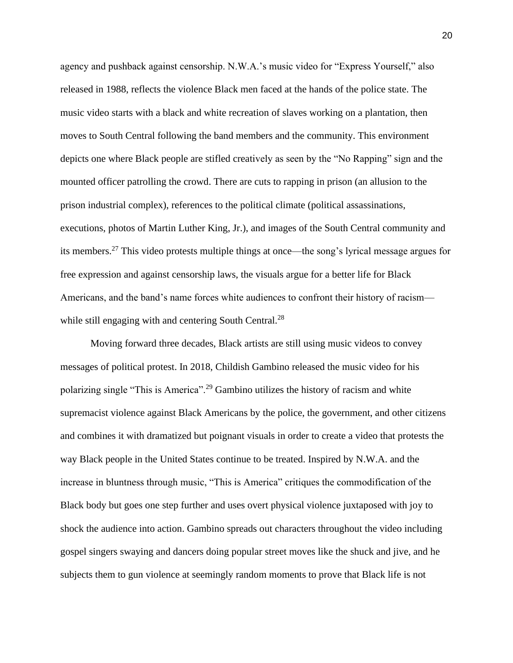agency and pushback against censorship. N.W.A.'s music video for "Express Yourself," also released in 1988, reflects the violence Black men faced at the hands of the police state. The music video starts with a black and white recreation of slaves working on a plantation, then moves to South Central following the band members and the community. This environment depicts one where Black people are stifled creatively as seen by the "No Rapping" sign and the mounted officer patrolling the crowd. There are cuts to rapping in prison (an allusion to the prison industrial complex), references to the political climate (political assassinations, executions, photos of Martin Luther King, Jr.), and images of the South Central community and its members.<sup>27</sup> This video protests multiple things at once—the song's lyrical message argues for free expression and against censorship laws, the visuals argue for a better life for Black Americans, and the band's name forces white audiences to confront their history of racism while still engaging with and centering South Central.<sup>28</sup>

Moving forward three decades, Black artists are still using music videos to convey messages of political protest. In 2018, Childish Gambino released the music video for his polarizing single "This is America".<sup>29</sup> Gambino utilizes the history of racism and white supremacist violence against Black Americans by the police, the government, and other citizens and combines it with dramatized but poignant visuals in order to create a video that protests the way Black people in the United States continue to be treated. Inspired by N.W.A. and the increase in bluntness through music, "This is America" critiques the commodification of the Black body but goes one step further and uses overt physical violence juxtaposed with joy to shock the audience into action. Gambino spreads out characters throughout the video including gospel singers swaying and dancers doing popular street moves like the shuck and jive, and he subjects them to gun violence at seemingly random moments to prove that Black life is not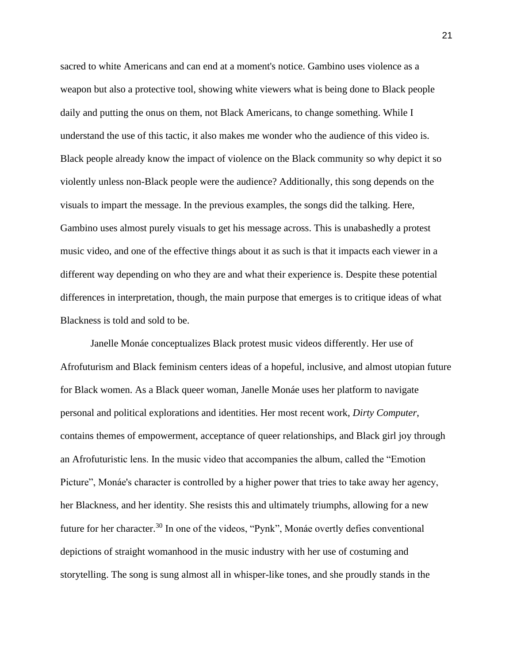sacred to white Americans and can end at a moment's notice. Gambino uses violence as a weapon but also a protective tool, showing white viewers what is being done to Black people daily and putting the onus on them, not Black Americans, to change something. While I understand the use of this tactic, it also makes me wonder who the audience of this video is. Black people already know the impact of violence on the Black community so why depict it so violently unless non-Black people were the audience? Additionally, this song depends on the visuals to impart the message. In the previous examples, the songs did the talking. Here, Gambino uses almost purely visuals to get his message across. This is unabashedly a protest music video, and one of the effective things about it as such is that it impacts each viewer in a different way depending on who they are and what their experience is. Despite these potential differences in interpretation, though, the main purpose that emerges is to critique ideas of what Blackness is told and sold to be.

Janelle Monáe conceptualizes Black protest music videos differently. Her use of Afrofuturism and Black feminism centers ideas of a hopeful, inclusive, and almost utopian future for Black women. As a Black queer woman, Janelle Monáe uses her platform to navigate personal and political explorations and identities. Her most recent work, *Dirty Computer*, contains themes of empowerment, acceptance of queer relationships, and Black girl joy through an Afrofuturistic lens. In the music video that accompanies the album, called the "Emotion Picture", Monáe's character is controlled by a higher power that tries to take away her agency, her Blackness, and her identity. She resists this and ultimately triumphs, allowing for a new future for her character.<sup>30</sup> In one of the videos, "Pynk", Monáe overtly defies conventional depictions of straight womanhood in the music industry with her use of costuming and storytelling. The song is sung almost all in whisper-like tones, and she proudly stands in the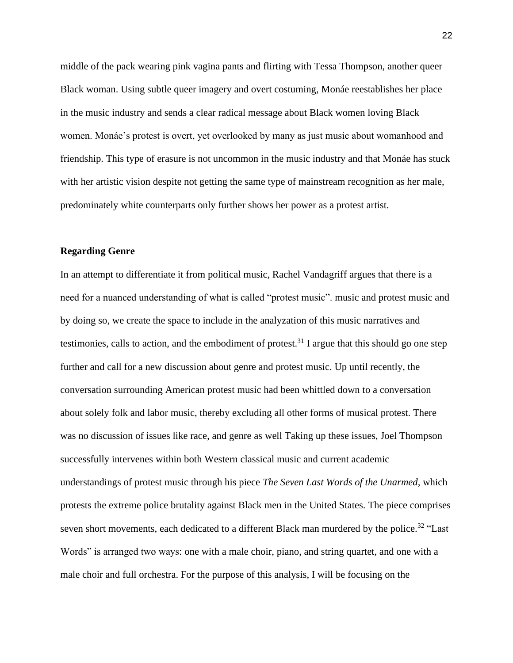middle of the pack wearing pink vagina pants and flirting with Tessa Thompson, another queer Black woman. Using subtle queer imagery and overt costuming, Monáe reestablishes her place in the music industry and sends a clear radical message about Black women loving Black women. Monáe's protest is overt, yet overlooked by many as just music about womanhood and friendship. This type of erasure is not uncommon in the music industry and that Monáe has stuck with her artistic vision despite not getting the same type of mainstream recognition as her male, predominately white counterparts only further shows her power as a protest artist.

#### **Regarding Genre**

In an attempt to differentiate it from political music, Rachel Vandagriff argues that there is a need for a nuanced understanding of what is called "protest music". music and protest music and by doing so, we create the space to include in the analyzation of this music narratives and testimonies, calls to action, and the embodiment of protest.<sup>31</sup> I argue that this should go one step further and call for a new discussion about genre and protest music. Up until recently, the conversation surrounding American protest music had been whittled down to a conversation about solely folk and labor music, thereby excluding all other forms of musical protest. There was no discussion of issues like race, and genre as well Taking up these issues, Joel Thompson successfully intervenes within both Western classical music and current academic understandings of protest music through his piece *The Seven Last Words of the Unarmed,* which protests the extreme police brutality against Black men in the United States. The piece comprises seven short movements, each dedicated to a different Black man murdered by the police.<sup>32</sup> "Last" Words" is arranged two ways: one with a male choir, piano, and string quartet, and one with a male choir and full orchestra. For the purpose of this analysis, I will be focusing on the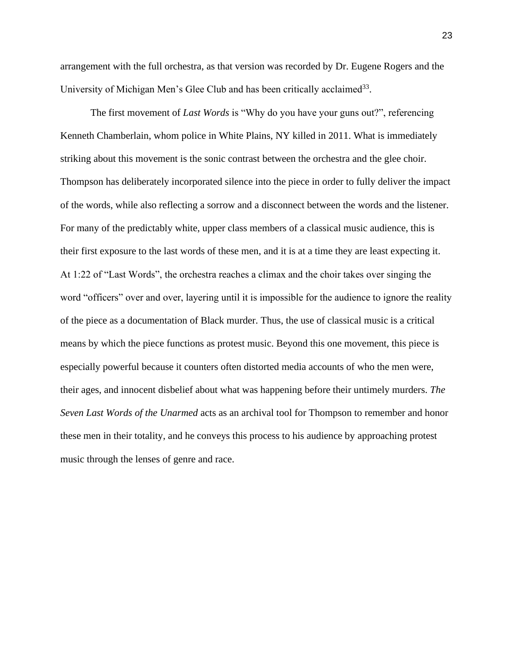arrangement with the full orchestra, as that version was recorded by Dr. Eugene Rogers and the University of Michigan Men's Glee Club and has been critically acclaimed<sup>33</sup>.

The first movement of *Last Words* is "Why do you have your guns out?", referencing Kenneth Chamberlain, whom police in White Plains, NY killed in 2011. What is immediately striking about this movement is the sonic contrast between the orchestra and the glee choir. Thompson has deliberately incorporated silence into the piece in order to fully deliver the impact of the words, while also reflecting a sorrow and a disconnect between the words and the listener. For many of the predictably white, upper class members of a classical music audience, this is their first exposure to the last words of these men, and it is at a time they are least expecting it. At 1:22 of "Last Words", the orchestra reaches a climax and the choir takes over singing the word "officers" over and over, layering until it is impossible for the audience to ignore the reality of the piece as a documentation of Black murder. Thus, the use of classical music is a critical means by which the piece functions as protest music. Beyond this one movement, this piece is especially powerful because it counters often distorted media accounts of who the men were, their ages, and innocent disbelief about what was happening before their untimely murders. *The Seven Last Words of the Unarmed* acts as an archival tool for Thompson to remember and honor these men in their totality, and he conveys this process to his audience by approaching protest music through the lenses of genre and race.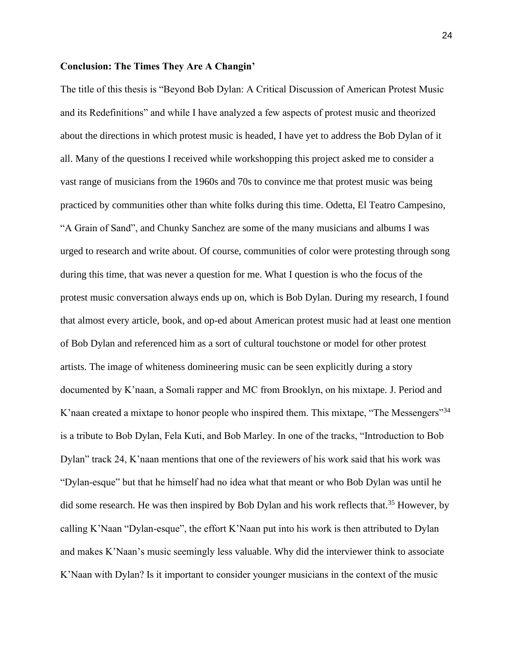#### **Conclusion: The Times They Are A Changin'**

The title of this thesis is "Beyond Bob Dylan: A Critical Discussion of American Protest Music and its Redefinitions" and while I have analyzed a few aspects of protest music and theorized about the directions in which protest music is headed, I have yet to address the Bob Dylan of it all. Many of the questions I received while workshopping this project asked me to consider a vast range of musicians from the 1960s and 70s to convince me that protest music was being practiced by communities other than white folks during this time. Odetta, El Teatro Campesino, "A Grain of Sand", and Chunky Sanchez are some of the many musicians and albums I was urged to research and write about. Of course, communities of color were protesting through song during this time, that was never a question for me. What I question is who the focus of the protest music conversation always ends up on, which is Bob Dylan. During my research, I found that almost every article, book, and op-ed about American protest music had at least one mention of Bob Dylan and referenced him as a sort of cultural touchstone or model for other protest artists. The image of whiteness domineering music can be seen explicitly during a story documented by K'naan, a Somali rapper and MC from Brooklyn, on his mixtape. J. Period and K'naan created a mixtape to honor people who inspired them. This mixtape, "The Messengers"<sup>34</sup> is a tribute to Bob Dylan, Fela Kuti, and Bob Marley. In one of the tracks, "Introduction to Bob Dylan" track 24, K'naan mentions that one of the reviewers of his work said that his work was "Dylan-esque" but that he himself had no idea what that meant or who Bob Dylan was until he did some research. He was then inspired by Bob Dylan and his work reflects that.<sup>35</sup> However, by calling K'Naan "Dylan-esque", the effort K'Naan put into his work is then attributed to Dylan and makes K'Naan's music seemingly less valuable. Why did the interviewer think to associate K'Naan with Dylan? Is it important to consider younger musicians in the context of the music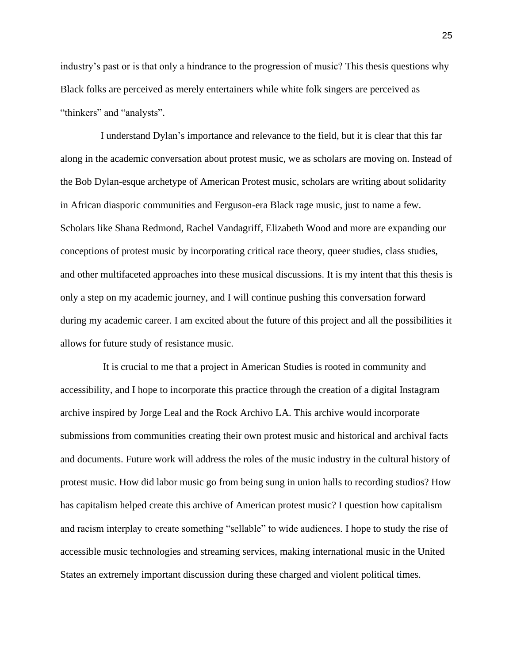industry's past or is that only a hindrance to the progression of music? This thesis questions why Black folks are perceived as merely entertainers while white folk singers are perceived as "thinkers" and "analysts".

I understand Dylan's importance and relevance to the field, but it is clear that this far along in the academic conversation about protest music, we as scholars are moving on. Instead of the Bob Dylan-esque archetype of American Protest music, scholars are writing about solidarity in African diasporic communities and Ferguson-era Black rage music, just to name a few. Scholars like Shana Redmond, Rachel Vandagriff, Elizabeth Wood and more are expanding our conceptions of protest music by incorporating critical race theory, queer studies, class studies, and other multifaceted approaches into these musical discussions. It is my intent that this thesis is only a step on my academic journey, and I will continue pushing this conversation forward during my academic career. I am excited about the future of this project and all the possibilities it allows for future study of resistance music.

It is crucial to me that a project in American Studies is rooted in community and accessibility, and I hope to incorporate this practice through the creation of a digital Instagram archive inspired by Jorge Leal and the Rock Archivo LA. This archive would incorporate submissions from communities creating their own protest music and historical and archival facts and documents. Future work will address the roles of the music industry in the cultural history of protest music. How did labor music go from being sung in union halls to recording studios? How has capitalism helped create this archive of American protest music? I question how capitalism and racism interplay to create something "sellable" to wide audiences. I hope to study the rise of accessible music technologies and streaming services, making international music in the United States an extremely important discussion during these charged and violent political times.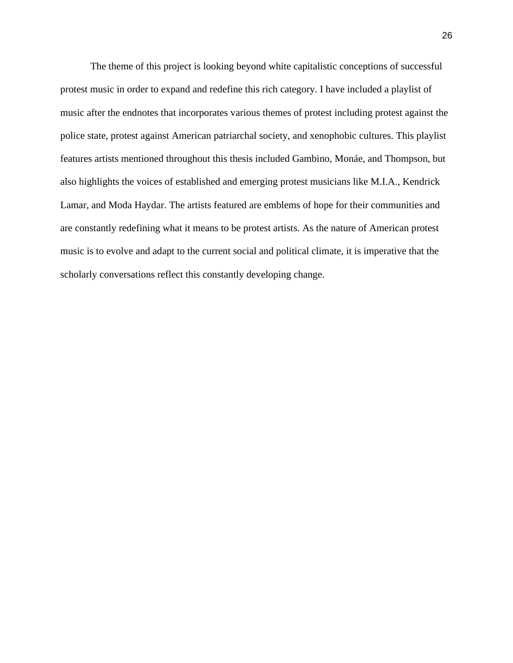The theme of this project is looking beyond white capitalistic conceptions of successful protest music in order to expand and redefine this rich category. I have included a playlist of music after the endnotes that incorporates various themes of protest including protest against the police state, protest against American patriarchal society, and xenophobic cultures. This playlist features artists mentioned throughout this thesis included Gambino, Monáe, and Thompson, but also highlights the voices of established and emerging protest musicians like M.I.A., Kendrick Lamar, and Moda Haydar. The artists featured are emblems of hope for their communities and are constantly redefining what it means to be protest artists. As the nature of American protest music is to evolve and adapt to the current social and political climate, it is imperative that the scholarly conversations reflect this constantly developing change.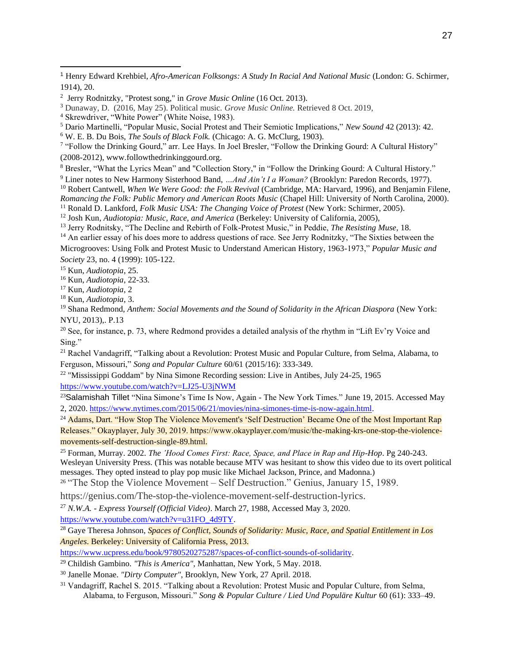<sup>6</sup> W. E. B. Du Bois, *The Souls of Black Folk.* (Chicago: A. G. McClurg, 1903).

7 "Follow the Drinking Gourd," arr. Lee Hays. In Joel Bresler, "Follow the Drinking Gourd: A Cultural History" (2008-2012), www.followthedrinkinggourd.org.

<sup>8</sup> Bresler, "What the Lyrics Mean" and "Collection Story," in "Follow the Drinking Gourd: A Cultural History."

<sup>9</sup> Liner notes to New Harmony Sisterhood Band, *…And Ain't I a Woman?* (Brooklyn: Paredon Records, 1977).

<sup>10</sup> Robert Cantwell, *When We Were Good: the Folk Revival* (Cambridge, MA: Harvard, 1996), and Benjamin Filene, *Romancing the Folk: Public Memory and American Roots Music* (Chapel Hill: University of North Carolina, 2000).

<sup>11</sup> Ronald D. Lankford, *Folk Music USA: The Changing Voice of Protest* (New York: Schirmer, 2005).

<sup>12</sup> Josh Kun, *Audiotopia: Music, Race, and America* (Berkeley: University of California, 2005),

<sup>13</sup> Jerry Rodnitsky, "The Decline and Rebirth of Folk-Protest Music," in Peddie, *The Resisting Muse,* 18.

<sup>14</sup> An earlier essay of his does more to address questions of race. See Jerry Rodnitzky, "The Sixties between the

Microgrooves: Using Folk and Protest Music to Understand American History, 1963-1973," *Popular Music and Society* 23, no. 4 (1999): 105-122.

<sup>15</sup> Kun, *Audiotopia*, 25.

<sup>16</sup> Kun, *Audiotopia*, 22-33.

<sup>17</sup> Kun, *Audiotopia*, 2

<sup>18</sup> Kun, *Audiotopia*, 3.

<sup>19</sup> Shana Redmond, *Anthem: Social Movements and the Sound of Solidarity in the African Diaspora (New York:* NYU, 2013),. P.13

<sup>20</sup> See, for instance, p. 73, where Redmond provides a detailed analysis of the rhythm in "Lift Ev'ry Voice and Sing."

<sup>21</sup> Rachel Vandagriff, "Talking about a Revolution: Protest Music and Popular Culture, from Selma, Alabama, to Ferguson, Missouri," *Song and Popular Culture* 60/61 (2015/16): 333-349.

 $22$  "Mississippi Goddam" by Nina Simone Recording session: Live in Antibes, July 24-25, 1965 <https://www.youtube.com/watch?v=LJ25-U3jNWM>

<sup>23</sup>Salamishah Tillet "Nina Simone's Time Is Now, Again - The New York Times." June 19, 2015. Accessed May 2, 2020. [https://www.nytimes.com/2015/06/21/movies/nina-simones-time-is-now-again.html.](https://www.nytimes.com/2015/06/21/movies/nina-simones-time-is-now-again.html)

<sup>24</sup> Adams, Dart. "How Stop The Violence Movement's 'Self Destruction' Became One of the Most Important Rap Releases." Okayplayer, July 30, 2019. https://www.okayplayer.com/music/the-making-krs-one-stop-the-violencemovements-self-destruction-single-89.html.

<sup>25</sup> Forman, Murray. 2002. *The 'Hood Comes First: Race, Space, and Place in Rap and Hip-Hop*. Pg 240-243. Wesleyan University Press. (This was notable because MTV was hesitant to show this video due to its overt political messages. They opted instead to play pop music like Michael Jackson, Prince, and Madonna.)

<sup>26</sup> "The Stop the Violence Movement – Self Destruction." Genius, January 15, 1989.

https://genius.com/The-stop-the-violence-movement-self-destruction-lyrics.

<sup>27</sup> *N.W.A. - Express Yourself (Official Video)*. March 27, 1988, Accessed May 3, 2020.

[https://www.youtube.com/watch?v=u31FO\\_4d9TY.](https://www.youtube.com/watch?v=u31FO_4d9TY)

<sup>28</sup> Gaye Theresa Johnson, *Spaces of Conflict, Sounds of Solidarity: Music, Race, and Spatial Entitlement in Los Angeles*. Berkeley: University of California Press, 2013.

[https://www.ucpress.edu/book/9780520275287/spaces-of-conflict-sounds-of-solidarity.](https://www.ucpress.edu/book/9780520275287/spaces-of-conflict-sounds-of-solidarity)

<sup>29</sup> Childish Gambino. *"This is America"*, Manhattan, New York, 5 May. 2018.

<sup>30</sup> Janelle Monae. *"Dirty Computer"*, Brooklyn, New York, 27 April. 2018.

<sup>31</sup> Vandagriff, Rachel S. 2015. "Talking about a Revolution: Protest Music and Popular Culture, from Selma, Alabama, to Ferguson, Missouri." *Song & Popular Culture / Lied Und Populäre Kultur* 60 (61): 333–49.

<sup>1</sup> Henry Edward Krehbiel, *Afro-American Folksongs: A Study In Racial And National Music* (London: G. Schirmer, 1914), 20.

<sup>2</sup> Jerry Rodnitzky, "Protest song," in *Grove Music Online* (16 Oct. 2013).

<sup>3</sup> Dunaway, D. (2016, May 25). Political music. *Grove Music Online.* Retrieved 8 Oct. 2019,

<sup>4</sup> Skrewdriver, "White Power" (White Noise, 1983).

<sup>5</sup> Dario Martinelli, "Popular Music, Social Protest and Their Semiotic Implications," *New Sound* 42 (2013): 42.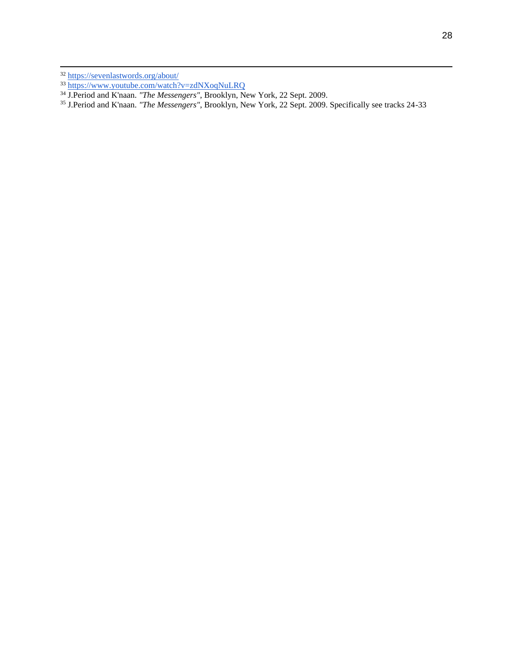J.Period and K'naan. *"The Messengers"*, Brooklyn, New York, 22 Sept. 2009. Specifically see tracks 24-33

<sup>&</sup>lt;sup>32</sup> <https://sevenlastwords.org/about/>

<https://www.youtube.com/watch?v=zdNXoqNuLRQ>

J.Period and K'naan. *"The Messengers"*, Brooklyn, New York, 22 Sept. 2009.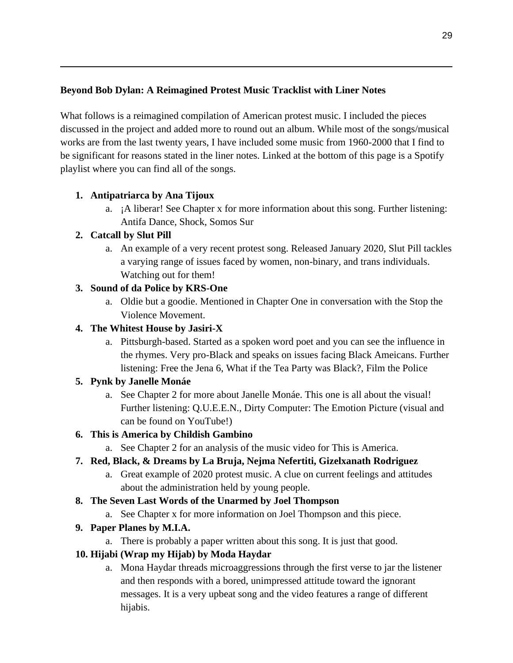## **Beyond Bob Dylan: A Reimagined Protest Music Tracklist with Liner Notes**

What follows is a reimagined compilation of American protest music. I included the pieces discussed in the project and added more to round out an album. While most of the songs/musical works are from the last twenty years, I have included some music from 1960-2000 that I find to be significant for reasons stated in the liner notes. Linked at the bottom of this page is a Spotify playlist where you can find all of the songs.

## **1. Antipatriarca by Ana Tijoux**

a. ¡A liberar! See Chapter x for more information about this song. Further listening: Antifa Dance, Shock, Somos Sur

## **2. Catcall by Slut Pill**

a. An example of a very recent protest song. Released January 2020, Slut Pill tackles a varying range of issues faced by women, non-binary, and trans individuals. Watching out for them!

## **3. Sound of da Police by KRS-One**

a. Oldie but a goodie. Mentioned in Chapter One in conversation with the Stop the Violence Movement.

## **4. The Whitest House by Jasiri-X**

a. Pittsburgh-based. Started as a spoken word poet and you can see the influence in the rhymes. Very pro-Black and speaks on issues facing Black Ameicans. Further listening: Free the Jena 6, What if the Tea Party was Black?, Film the Police

### **5. Pynk by Janelle Monáe**

a. See Chapter 2 for more about Janelle Monáe. This one is all about the visual! Further listening: Q.U.E.E.N., Dirty Computer: The Emotion Picture (visual and can be found on YouTube!)

### **6. This is America by Childish Gambino**

a. See Chapter 2 for an analysis of the music video for This is America.

# **7. Red, Black, & Dreams by La Bruja, Nejma Nefertiti, Gizelxanath Rodriguez**

a. Great example of 2020 protest music. A clue on current feelings and attitudes about the administration held by young people.

### **8. The Seven Last Words of the Unarmed by Joel Thompson**

a. See Chapter x for more information on Joel Thompson and this piece.

# **9. Paper Planes by M.I.A.**

a. There is probably a paper written about this song. It is just that good.

### **10. Hijabi (Wrap my Hijab) by Moda Haydar**

a. Mona Haydar threads microaggressions through the first verse to jar the listener and then responds with a bored, unimpressed attitude toward the ignorant messages. It is a very upbeat song and the video features a range of different hijabis.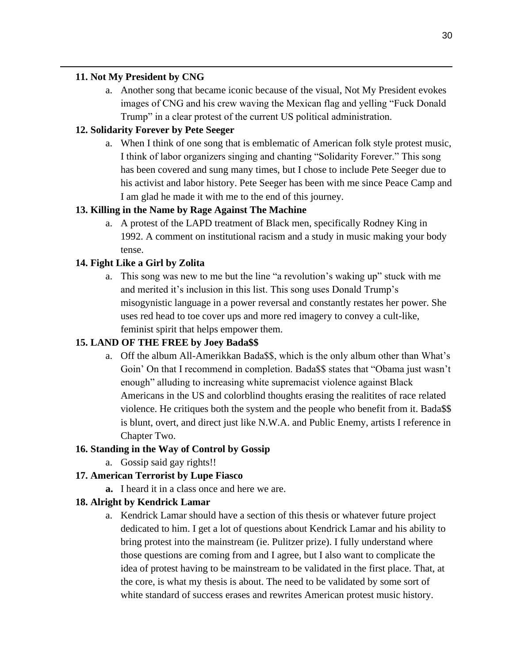### **11. Not My President by CNG**

a. Another song that became iconic because of the visual, Not My President evokes images of CNG and his crew waving the Mexican flag and yelling "Fuck Donald Trump" in a clear protest of the current US political administration.

## **12. Solidarity Forever by Pete Seeger**

a. When I think of one song that is emblematic of American folk style protest music, I think of labor organizers singing and chanting "Solidarity Forever." This song has been covered and sung many times, but I chose to include Pete Seeger due to his activist and labor history. Pete Seeger has been with me since Peace Camp and I am glad he made it with me to the end of this journey.

## **13. Killing in the Name by Rage Against The Machine**

a. A protest of the LAPD treatment of Black men, specifically Rodney King in 1992. A comment on institutional racism and a study in music making your body tense.

## **14. Fight Like a Girl by Zolita**

a. This song was new to me but the line "a revolution's waking up" stuck with me and merited it's inclusion in this list. This song uses Donald Trump's misogynistic language in a power reversal and constantly restates her power. She uses red head to toe cover ups and more red imagery to convey a cult-like, feminist spirit that helps empower them.

# **15. LAND OF THE FREE by Joey Bada\$\$**

a. Off the album All-Amerikkan Bada\$\$, which is the only album other than What's Goin' On that I recommend in completion. Bada\$\$ states that "Obama just wasn't enough" alluding to increasing white supremacist violence against Black Americans in the US and colorblind thoughts erasing the realitites of race related violence. He critiques both the system and the people who benefit from it. Bada\$\$ is blunt, overt, and direct just like N.W.A. and Public Enemy, artists I reference in Chapter Two.

### **16. Standing in the Way of Control by Gossip**

a. Gossip said gay rights!!

### **17. American Terrorist by Lupe Fiasco**

**a.** I heard it in a class once and here we are.

### **18. Alright by Kendrick Lamar**

a. Kendrick Lamar should have a section of this thesis or whatever future project dedicated to him. I get a lot of questions about Kendrick Lamar and his ability to bring protest into the mainstream (ie. Pulitzer prize). I fully understand where those questions are coming from and I agree, but I also want to complicate the idea of protest having to be mainstream to be validated in the first place. That, at the core, is what my thesis is about. The need to be validated by some sort of white standard of success erases and rewrites American protest music history.